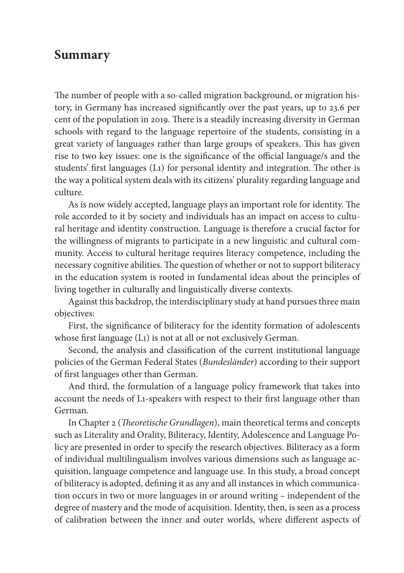## **Summary**

The number of people with a so-called migration background, or migration history, in Germany has increased significantly over the past years, up to 23.6 per cent of the population in 2019. There is a steadily increasing diversity in German schools with regard to the language repertoire of the students, consisting in a great variety of languages rather than large groups of speakers. This has given rise to two key issues: one is the significance of the official language/s and the students' first languages (L1) for personal identity and integration. The other is the way a political system deals with its citizens' plurality regarding language and culture.

As is now widely accepted, language plays an important role for identity. The role accorded to it by society and individuals has an impact on access to cultural heritage and identity construction. Language is therefore a crucial factor for the willingness of migrants to participate in a new linguistic and cultural community. Access to cultural heritage requires literacy competence, including the necessary cognitive abilities. The question of whether or not to support biliteracy in the education system is rooted in fundamental ideas about the principles of living together in culturally and linguistically diverse contexts.

Against this backdrop, the interdisciplinary study at hand pursues three main objectives:

First, the significance of biliteracy for the identity formation of adolescents whose first language (L1) is not at all or not exclusively German.

Second, the analysis and classification of the current institutional language policies of the German Federal States (*Bundesländer*) according to their support of first languages other than German.

And third, the formulation of a language policy framework that takes into account the needs of L1-speakers with respect to their first language other than German.

In Chapter 2 (*Theoretische Grundlagen*), main theoretical terms and concepts such as Literality and Orality, Biliteracy, Identity, Adolescence and Language Policy are presented in order to specify the research objectives. Biliteracy as a form of individual multilingualism involves various dimensions such as language ac‑ quisition, language competence and language use. In this study, a broad concept of biliteracy is adopted, defining it as any and all instances in which communication occurs in two or more languages in or around writing – independent of the degree of mastery and the mode of acquisition. Identity, then, is seen as a process of calibration between the inner and outer worlds, where different aspects of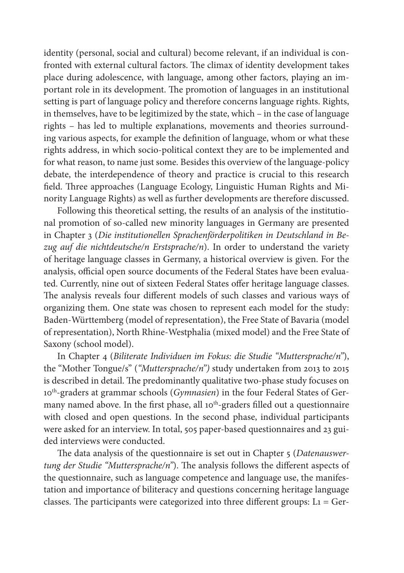identity (personal, social and cultural) become relevant, if an individual is confronted with external cultural factors. The climax of identity development takes place during adolescence, with language, among other factors, playing an important role in its development. The promotion of languages in an institutional setting is part of language policy and therefore concerns language rights. Rights, in themselves, have to be legitimized by the state, which – in the case of language rights - has led to multiple explanations, movements and theories surrounding various aspects, for example the definition of language, whom or what these rights address, in which socio-political context they are to be implemented and for what reason, to name just some. Besides this overview of the language-policy debate, the interdependence of theory and practice is crucial to this research field. Three approaches (Language Ecology, Linguistic Human Rights and Minority Language Rights) as well as further developments are therefore discussed.

Following this theoretical setting, the results of an analysis of the institutional promotion of so-called new minority languages in Germany are presented in Chapter 3 (*Die institutionellen Sprachenförderpolitiken in Deutschland in Bezug auf die nichtdeutsche/n Erstsprache/n*). In order to understand the variety of heritage language classes in Germany, a historical overview is given. For the analysis, official open source documents of the Federal States have been evaluated. Currently, nine out of sixteen Federal States offer heritage language classes. The analysis reveals four different models of such classes and various ways of organizing them. One state was chosen to represent each model for the study: Baden-Württemberg (model of representation), the Free State of Bavaria (model of representation), North Rhine-Westphalia (mixed model) and the Free State of Saxony (school model).

In Chapter 4 (*Biliterate Individuen im Fokus: die Studie "Muttersprache/n"*), the "Mother Tongue/s" (*"Muttersprache/n")* study undertaken from 2013 to 2015 is described in detail. The predominantly qualitative two-phase study focuses on 10<sup>th</sup>-graders at grammar schools (*Gymnasien*) in the four Federal States of Germany named above. In the first phase, all 10<sup>th</sup>-graders filled out a questionnaire with closed and open questions. In the second phase, individual participants were asked for an interview. In total, 505 paper-based questionnaires and 23 guided interviews were conducted.

The data analysis of the questionnaire is set out in Chapter 5 (*Datenauswertung der Studie "Muttersprache/n"*). The analysis follows the different aspects of the questionnaire, such as language competence and language use, the manifestation and importance of biliteracy and questions concerning heritage language classes. The participants were categorized into three different groups:  $L_1 = Ger$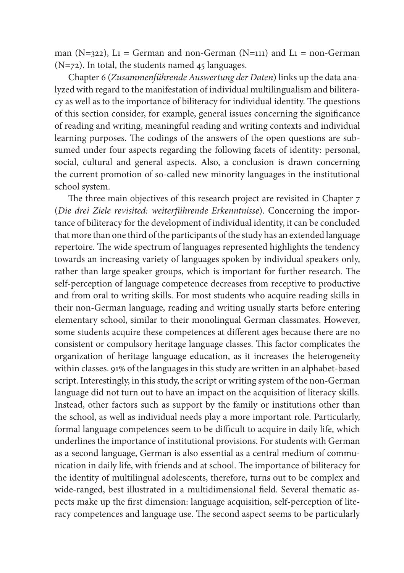man (N=322),  $L_1$  = German and non-German (N=111) and  $L_1$  = non-German  $(N=72)$ . In total, the students named 45 languages.

Chapter 6 (*Zusammenführende Auswertung der Daten*) links up the data ana‑ lyzed with regard to the manifestation of individual multilingualism and biliteracy as well as to the importance of biliteracy for individual identity. The questions of this section consider, for example, general issues concerning the significance of reading and writing, meaningful reading and writing contexts and individual learning purposes. The codings of the answers of the open questions are subsumed under four aspects regarding the following facets of identity: personal, social, cultural and general aspects. Also, a conclusion is drawn concerning the current promotion of so-called new minority languages in the institutional school system.

The three main objectives of this research project are revisited in Chapter 7 (*Die drei Ziele revisited: weiterführende Erkenntnisse*). Concerning the importance of biliteracy for the development of individual identity, it can be concluded that more than one third of the participants of the study has an extended language repertoire. The wide spectrum of languages represented highlights the tendency towards an increasing variety of languages spoken by individual speakers only, rather than large speaker groups, which is important for further research. The self-perception of language competence decreases from receptive to productive and from oral to writing skills. For most students who acquire reading skills in their non-German language, reading and writing usually starts before entering elementary school, similar to their monolingual German classmates. However, some students acquire these competences at different ages because there are no consistent or compulsory heritage language classes. This factor complicates the organization of heritage language education, as it increases the heterogeneity within classes. 91% of the languages in this study are written in an alphabet-based script. Interestingly, in this study, the script or writing system of the non-German language did not turn out to have an impact on the acquisition of literacy skills. Instead, other factors such as support by the family or institutions other than the school, as well as individual needs play a more important role. Particularly, formal language competences seem to be difficult to acquire in daily life, which underlines the importance of institutional provisions. For students with German as a second language, German is also essential as a central medium of communication in daily life, with friends and at school. The importance of biliteracy for the identity of multilingual adolescents, therefore, turns out to be complex and wide-ranged, best illustrated in a multidimensional field. Several thematic aspects make up the first dimension: language acquisition, self-perception of literacy competences and language use. The second aspect seems to be particularly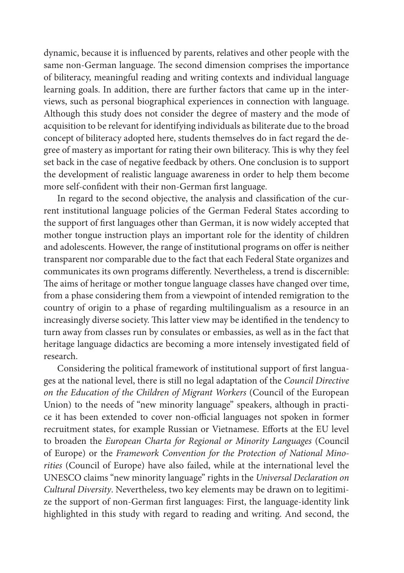dynamic, because it is influenced by parents, relatives and other people with the same non-German language. The second dimension comprises the importance of biliteracy, meaningful reading and writing contexts and individual language learning goals. In addition, there are further factors that came up in the interviews, such as personal biographical experiences in connection with language. Although this study does not consider the degree of mastery and the mode of acquisition to be relevant for identifying individuals as biliterate due to the broad concept of biliteracy adopted here, students themselves do in fact regard the degree of mastery as important for rating their own biliteracy. This is why they feel set back in the case of negative feedback by others. One conclusion is to support the development of realistic language awareness in order to help them become more self-confident with their non-German first language.

In regard to the second objective, the analysis and classification of the current institutional language policies of the German Federal States according to the support of first languages other than German, it is now widely accepted that mother tongue instruction plays an important role for the identity of children and adolescents. However, the range of institutional programs on offer is neither transparent nor comparable due to the fact that each Federal State organizes and communicates its own programs differently. Nevertheless, a trend is discernible: The aims of heritage or mother tongue language classes have changed over time, from a phase considering them from a viewpoint of intended remigration to the country of origin to a phase of regarding multilingualism as a resource in an increasingly diverse society. This latter view may be identified in the tendency to turn away from classes run by consulates or embassies, as well as in the fact that heritage language didactics are becoming a more intensely investigated field of research.

Considering the political framework of institutional support of first languages at the national level, there is still no legal adaptation of the *Council Directive on the Education of the Children of Migrant Workers* (Council of the European Union) to the needs of "new minority language" speakers, although in practice it has been extended to cover non-official languages not spoken in former recruitment states, for example Russian or Vietnamese. Efforts at the EU level to broaden the *European Charta for Regional or Minority Languages* (Council of Europe) or the *Framework Convention for the Protection of National Minorities* (Council of Europe) have also failed, while at the international level the UNESCO claims "new minority language" rights in the *Universal Declaration on Cultural Diversity*. Nevertheless, two key elements may be drawn on to legitimize the support of non-German first languages: First, the language-identity link highlighted in this study with regard to reading and writing. And second, the